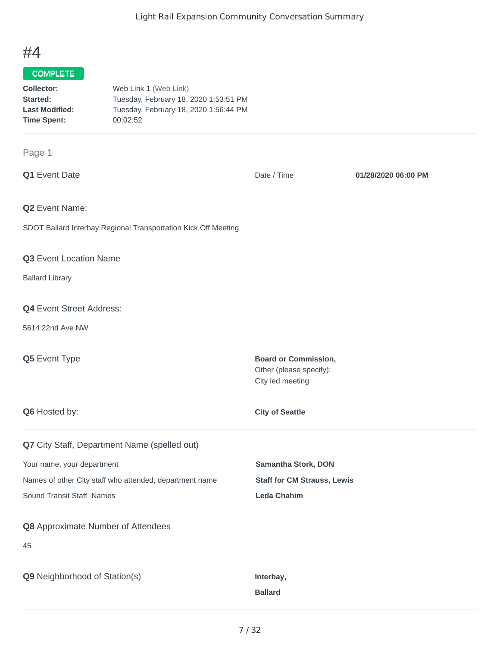## #4

## COMPLETE

| Web Link 1 (Web Link)                 |
|---------------------------------------|
| Tuesday, February 18, 2020 1:53:51 PM |
| Tuesday, February 18, 2020 1:56:44 PM |
|                                       |
|                                       |

## Page 1

| Q1 Event Date                                                                                                                                                      | Date / Time                                                                     | 01/28/2020 06:00 PM |
|--------------------------------------------------------------------------------------------------------------------------------------------------------------------|---------------------------------------------------------------------------------|---------------------|
| Q2 Event Name:<br>SDOT Ballard Interbay Regional Transportation Kick Off Meeting                                                                                   |                                                                                 |                     |
| Q3 Event Location Name<br><b>Ballard Library</b>                                                                                                                   |                                                                                 |                     |
| <b>Q4</b> Event Street Address:<br>5614 22nd Ave NW                                                                                                                |                                                                                 |                     |
| Q5 Event Type                                                                                                                                                      | <b>Board or Commission,</b><br>Other (please specify):<br>City led meeting      |                     |
| Q6 Hosted by:                                                                                                                                                      | <b>City of Seattle</b>                                                          |                     |
| Q7 City Staff, Department Name (spelled out)<br>Your name, your department<br>Names of other City staff who attended, department name<br>Sound Transit Staff Names | Samantha Stork, DON<br><b>Staff for CM Strauss, Lewis</b><br><b>Leda Chahim</b> |                     |
| Q8 Approximate Number of Attendees<br>45                                                                                                                           |                                                                                 |                     |
| Q9 Neighborhood of Station(s)                                                                                                                                      | Interbay,<br><b>Ballard</b>                                                     |                     |